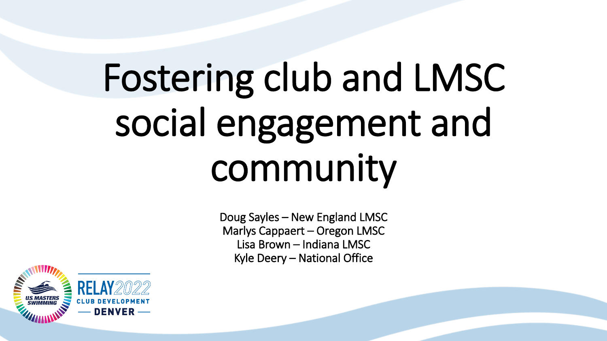# Fostering club and LMSC social engagement and community

Doug Sayles – New England LMSC Marlys Cappaert – Oregon LMSC Lisa Brown – Indiana LMSC Kyle Deery – National Office

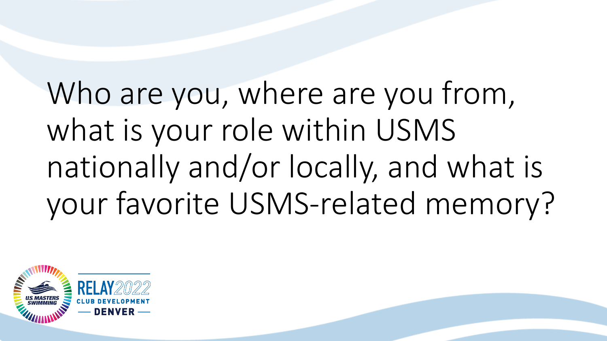Who are you, where are you from, what is your role within USMS nationally and/or locally, and what is your favorite USMS-related memory?

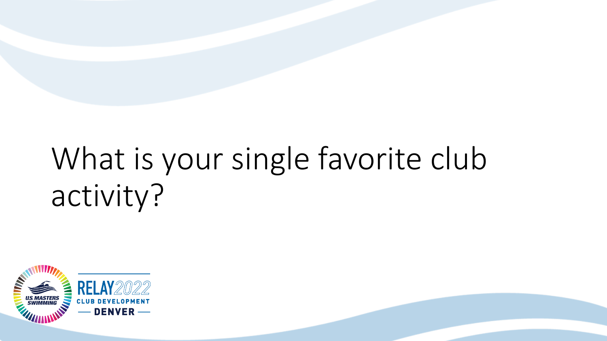## What is your single favorite club activity?

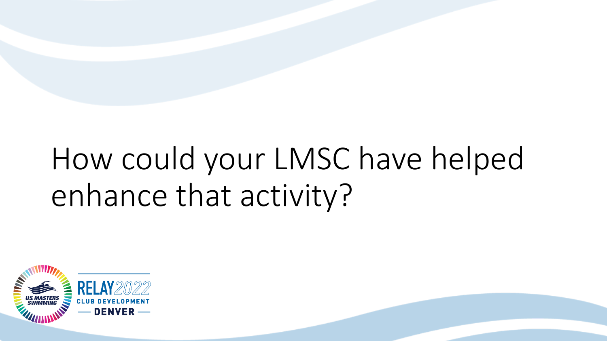#### How could your LMSC have helped enhance that activity?

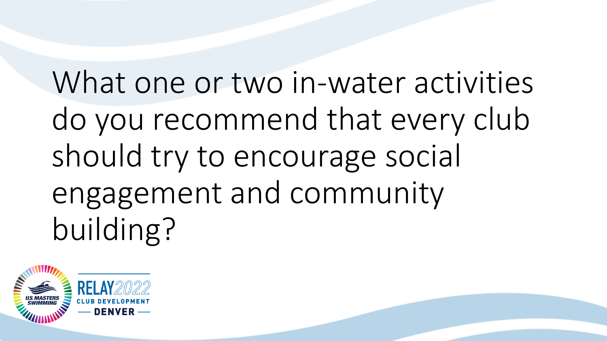# What one or two in-water activities do you recommend that every club should try to encourage social engagement and community building?

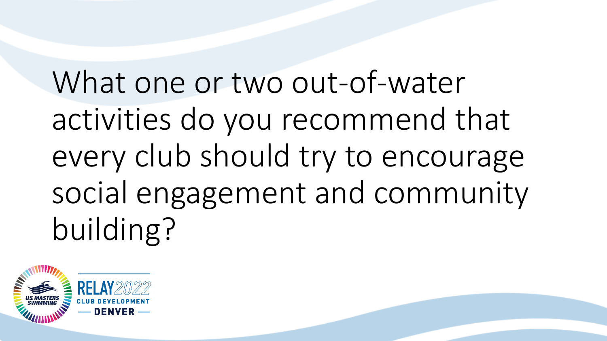What one or two out-of-water activities do you recommend that every club should try to encourage social engagement and community building?

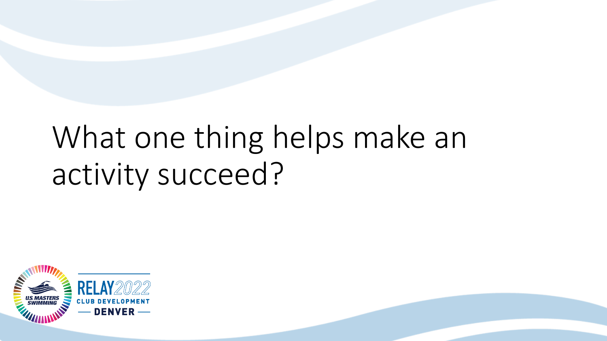#### What one thing helps make an activity succeed?

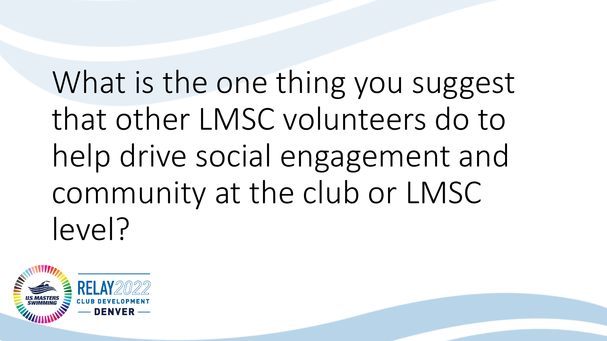What is the one thing you suggest that other LMSC volunteers do to help drive social engagement and community at the club or LMSC level?

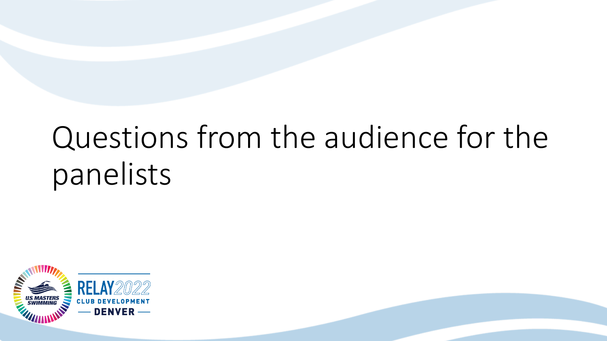#### Questions from the audience for the panelists

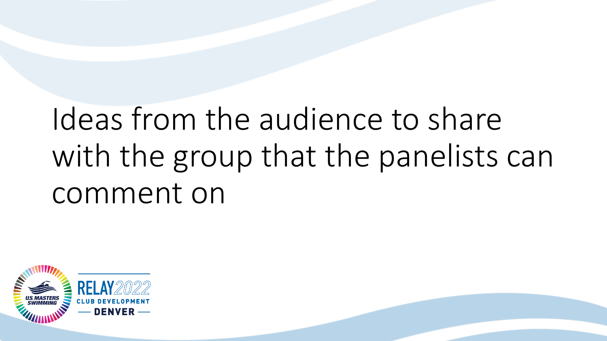## Ideas from the audience to share with the group that the panelists can comment on